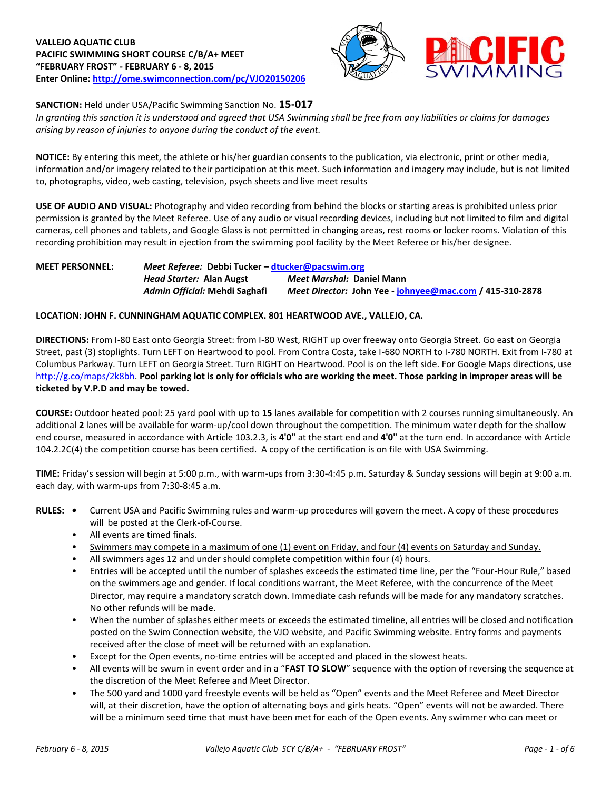



## **SANCTION:** Held under USA/Pacific Swimming Sanction No. **15-017**

*In granting this sanction it is understood and agreed that USA Swimming shall be free from any liabilities or claims for damages arising by reason of injuries to anyone during the conduct of the event.*

**NOTICE:** By entering this meet, the athlete or his/her guardian consents to the publication, via electronic, print or other media, information and/or imagery related to their participation at this meet. Such information and imagery may include, but is not limited to, photographs, video, web casting, television, psych sheets and live meet results

**USE OF AUDIO AND VISUAL:** Photography and video recording from behind the blocks or starting areas is prohibited unless prior permission is granted by the Meet Referee. Use of any audio or visual recording devices, including but not limited to film and digital cameras, cell phones and tablets, and Google Glass is not permitted in changing areas, rest rooms or locker rooms. Violation of this recording prohibition may result in ejection from the swimming pool facility by the Meet Referee or his/her designee.

**MEET PERSONNEL:** *Meet Referee:* **Debbi Tucker – [dtucker@pacswim.org](mailto:dtucker@pacswim.org)** *Head Starter:* **Alan Augst** *Meet Marshal:* **Daniel Mann** *Admin Official:* **Mehdi Saghafi** *Meet Director:* **John Yee - [johnyee@mac.com](mailto:johnyee@mac.com) / 415-310-2878**

## **LOCATION: JOHN F. CUNNINGHAM AQUATIC COMPLEX. 801 HEARTWOOD AVE., VALLEJO, CA.**

**DIRECTIONS:** From I-80 East onto Georgia Street: from I-80 West, RIGHT up over freeway onto Georgia Street. Go east on Georgia Street, past (3) stoplights. Turn LEFT on Heartwood to pool. From Contra Costa, take I-680 NORTH to I-780 NORTH. Exit from I-780 at Columbus Parkway. Turn LEFT on Georgia Street. Turn RIGHT on Heartwood. Pool is on the left side. For Google Maps directions, use [http://g.co/maps/2k8bh.](http://g.co/maps/2k8bh) **Pool parking lot is only for officials who are working the meet. Those parking in improper areas will be ticketed by V.P.D and may be towed.**

**COURSE:** Outdoor heated pool: 25 yard pool with up to **15** lanes available for competition with 2 courses running simultaneously. An additional **2** lanes will be available for warm-up/cool down throughout the competition. The minimum water depth for the shallow end course, measured in accordance with Article 103.2.3, is **4'0"** at the start end and **4'0"** at the turn end. In accordance with Article 104.2.2C(4) the competition course has been certified. A copy of the certification is on file with USA Swimming.

**TIME:** Friday's session will begin at 5:00 p.m., with warm-ups from 3:30-4:45 p.m. Saturday & Sunday sessions will begin at 9:00 a.m. each day, with warm-ups from 7:30-8:45 a.m.

- **RULES: •** Current USA and Pacific Swimming rules and warm-up procedures will govern the meet. A copy of these procedures will be posted at the Clerk-of-Course.
	- All events are timed finals.
	- Swimmers may compete in a maximum of one (1) event on Friday, and four (4) events on Saturday and Sunday.
	- All swimmers ages 12 and under should complete competition within four (4) hours.
	- Entries will be accepted until the number of splashes exceeds the estimated time line, per the "Four-Hour Rule," based on the swimmers age and gender. If local conditions warrant, the Meet Referee, with the concurrence of the Meet Director, may require a mandatory scratch down. Immediate cash refunds will be made for any mandatory scratches. No other refunds will be made.
	- When the number of splashes either meets or exceeds the estimated timeline, all entries will be closed and notification posted on the Swim Connection website, the VJO website, and Pacific Swimming website. Entry forms and payments received after the close of meet will be returned with an explanation.
	- Except for the Open events, no-time entries will be accepted and placed in the slowest heats.
	- All events will be swum in event order and in a "**FAST TO SLOW**" sequence with the option of reversing the sequence at the discretion of the Meet Referee and Meet Director.
	- The 500 yard and 1000 yard freestyle events will be held as "Open" events and the Meet Referee and Meet Director will, at their discretion, have the option of alternating boys and girls heats. "Open" events will not be awarded. There will be a minimum seed time that must have been met for each of the Open events. Any swimmer who can meet or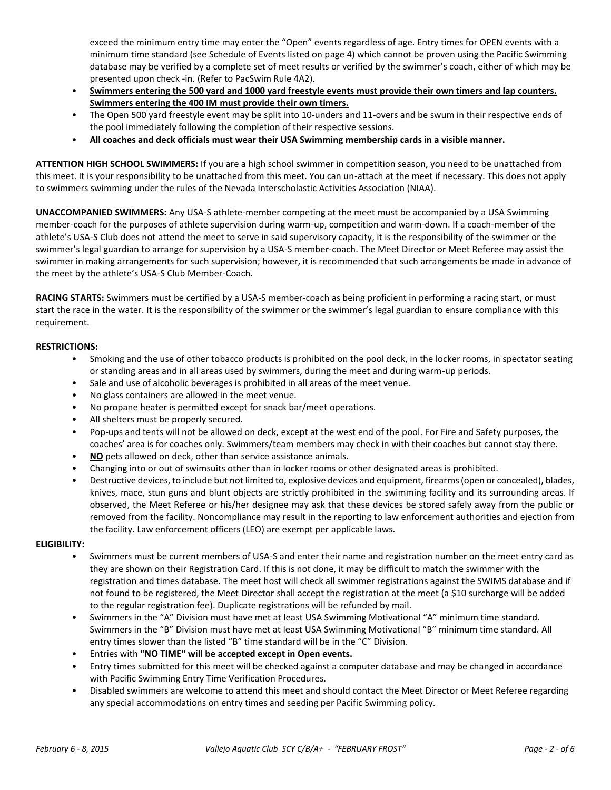exceed the minimum entry time may enter the "Open" events regardless of age. Entry times for OPEN events with a minimum time standard (see Schedule of Events listed on page 4) which cannot be proven using the Pacific Swimming database may be verified by a complete set of meet results or verified by the swimmer's coach, either of which may be presented upon check -in. (Refer to PacSwim Rule 4A2).

- **Swimmers entering the 500 yard and 1000 yard freestyle events must provide their own timers and lap counters. Swimmers entering the 400 IM must provide their own timers.**
- The Open 500 yard freestyle event may be split into 10-unders and 11-overs and be swum in their respective ends of the pool immediately following the completion of their respective sessions.
- **All coaches and deck officials must wear their USA Swimming membership cards in a visible manner.**

**ATTENTION HIGH SCHOOL SWIMMERS:** If you are a high school swimmer in competition season, you need to be unattached from this meet. It is your responsibility to be unattached from this meet. You can un-attach at the meet if necessary. This does not apply to swimmers swimming under the rules of the Nevada Interscholastic Activities Association (NIAA).

**UNACCOMPANIED SWIMMERS:** Any USA-S athlete-member competing at the meet must be accompanied by a USA Swimming member-coach for the purposes of athlete supervision during warm-up, competition and warm-down. If a coach-member of the athlete's USA-S Club does not attend the meet to serve in said supervisory capacity, it is the responsibility of the swimmer or the swimmer's legal guardian to arrange for supervision by a USA-S member-coach. The Meet Director or Meet Referee may assist the swimmer in making arrangements for such supervision; however, it is recommended that such arrangements be made in advance of the meet by the athlete's USA-S Club Member-Coach.

**RACING STARTS:** Swimmers must be certified by a USA-S member-coach as being proficient in performing a racing start, or must start the race in the water. It is the responsibility of the swimmer or the swimmer's legal guardian to ensure compliance with this requirement.

### **RESTRICTIONS:**

- Smoking and the use of other tobacco products is prohibited on the pool deck, in the locker rooms, in spectator seating or standing areas and in all areas used by swimmers, during the meet and during warm-up periods.
- Sale and use of alcoholic beverages is prohibited in all areas of the meet venue.
- No glass containers are allowed in the meet venue.
- No propane heater is permitted except for snack bar/meet operations.
- All shelters must be properly secured.
- Pop-ups and tents will not be allowed on deck, except at the west end of the pool. For Fire and Safety purposes, the coaches' area is for coaches only. Swimmers/team members may check in with their coaches but cannot stay there.
- **NO** pets allowed on deck, other than service assistance animals.
- Changing into or out of swimsuits other than in locker rooms or other designated areas is prohibited.
- Destructive devices, to include but not limited to, explosive devices and equipment, firearms (open or concealed), blades, knives, mace, stun guns and blunt objects are strictly prohibited in the swimming facility and its surrounding areas. If observed, the Meet Referee or his/her designee may ask that these devices be stored safely away from the public or removed from the facility. Noncompliance may result in the reporting to law enforcement authorities and ejection from the facility. Law enforcement officers (LEO) are exempt per applicable laws.

#### **ELIGIBILITY:**

- Swimmers must be current members of USA-S and enter their name and registration number on the meet entry card as they are shown on their Registration Card. If this is not done, it may be difficult to match the swimmer with the registration and times database. The meet host will check all swimmer registrations against the SWIMS database and if not found to be registered, the Meet Director shall accept the registration at the meet (a \$10 surcharge will be added to the regular registration fee). Duplicate registrations will be refunded by mail.
- Swimmers in the "A" Division must have met at least USA Swimming Motivational "A" minimum time standard. Swimmers in the "B" Division must have met at least USA Swimming Motivational "B" minimum time standard. All entry times slower than the listed "B" time standard will be in the "C" Division.
- Entries with **"NO TIME" will be accepted except in Open events.**
- Entry times submitted for this meet will be checked against a computer database and may be changed in accordance with Pacific Swimming Entry Time Verification Procedures.
- Disabled swimmers are welcome to attend this meet and should contact the Meet Director or Meet Referee regarding any special accommodations on entry times and seeding per Pacific Swimming policy.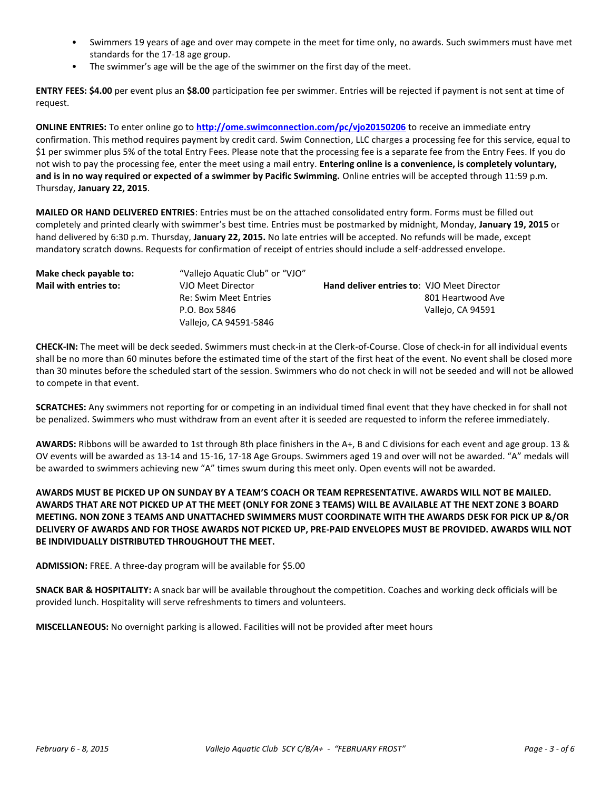- Swimmers 19 years of age and over may compete in the meet for time only, no awards. Such swimmers must have met standards for the 17-18 age group.
- The swimmer's age will be the age of the swimmer on the first day of the meet.

**ENTRY FEES: \$4.00** per event plus an **\$8.00** participation fee per swimmer. Entries will be rejected if payment is not sent at time of request.

**ONLINE ENTRIES:** To enter online go to **<http://ome.swimconnection.com/pc/vjo20150206>** to receive an immediate entry confirmation. This method requires payment by credit card. Swim Connection, LLC charges a processing fee for this service, equal to \$1 per swimmer plus 5% of the total Entry Fees. Please note that the processing fee is a separate fee from the Entry Fees. If you do not wish to pay the processing fee, enter the meet using a mail entry. **Entering online is a convenience, is completely voluntary, and is in no way required or expected of a swimmer by Pacific Swimming.** Online entries will be accepted through 11:59 p.m. Thursday, **January 22, 2015**.

**MAILED OR HAND DELIVERED ENTRIES**: Entries must be on the attached consolidated entry form. Forms must be filled out completely and printed clearly with swimmer's best time. Entries must be postmarked by midnight, Monday, **January 19, 2015** or hand delivered by 6:30 p.m. Thursday, **January 22, 2015.** No late entries will be accepted. No refunds will be made, except mandatory scratch downs. Requests for confirmation of receipt of entries should include a self-addressed envelope.

| Make check payable to: | "Vallejo Aquatic Club" or "VJO" |                                                   |                   |
|------------------------|---------------------------------|---------------------------------------------------|-------------------|
| Mail with entries to:  | VJO Meet Director               | <b>Hand deliver entries to: VJO Meet Director</b> |                   |
|                        | <b>Re: Swim Meet Entries</b>    |                                                   | 801 Heartwood Ave |
|                        | P.O. Box 5846                   |                                                   | Vallejo, CA 94591 |
|                        | Vallejo, CA 94591-5846          |                                                   |                   |

**CHECK-IN:** The meet will be deck seeded. Swimmers must check-in at the Clerk-of-Course. Close of check-in for all individual events shall be no more than 60 minutes before the estimated time of the start of the first heat of the event. No event shall be closed more than 30 minutes before the scheduled start of the session. Swimmers who do not check in will not be seeded and will not be allowed to compete in that event.

**SCRATCHES:** Any swimmers not reporting for or competing in an individual timed final event that they have checked in for shall not be penalized. Swimmers who must withdraw from an event after it is seeded are requested to inform the referee immediately.

**AWARDS:** Ribbons will be awarded to 1st through 8th place finishers in the A+, B and C divisions for each event and age group. 13 & OV events will be awarded as 13-14 and 15-16, 17-18 Age Groups. Swimmers aged 19 and over will not be awarded. "A" medals will be awarded to swimmers achieving new "A" times swum during this meet only. Open events will not be awarded.

# **AWARDS MUST BE PICKED UP ON SUNDAY BY A TEAM'S COACH OR TEAM REPRESENTATIVE. AWARDS WILL NOT BE MAILED. AWARDS THAT ARE NOT PICKED UP AT THE MEET (ONLY FOR ZONE 3 TEAMS) WILL BE AVAILABLE AT THE NEXT ZONE 3 BOARD MEETING. NON ZONE 3 TEAMS AND UNATTACHED SWIMMERS MUST COORDINATE WITH THE AWARDS DESK FOR PICK UP &/OR DELIVERY OF AWARDS AND FOR THOSE AWARDS NOT PICKED UP, PRE-PAID ENVELOPES MUST BE PROVIDED. AWARDS WILL NOT BE INDIVIDUALLY DISTRIBUTED THROUGHOUT THE MEET.**

**ADMISSION:** FREE. A three-day program will be available for \$5.00

**SNACK BAR & HOSPITALITY:** A snack bar will be available throughout the competition. Coaches and working deck officials will be provided lunch. Hospitality will serve refreshments to timers and volunteers.

**MISCELLANEOUS:** No overnight parking is allowed. Facilities will not be provided after meet hours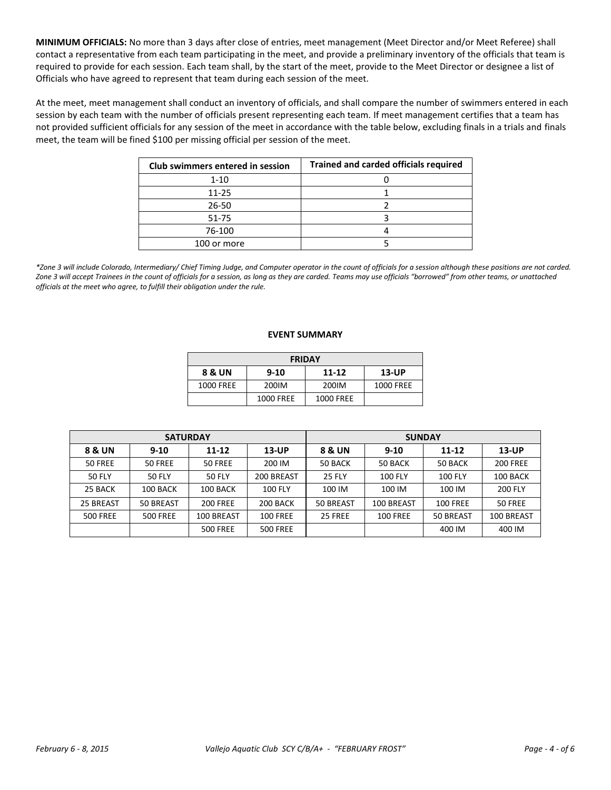**MINIMUM OFFICIALS:** No more than 3 days after close of entries, meet management (Meet Director and/or Meet Referee) shall contact a representative from each team participating in the meet, and provide a preliminary inventory of the officials that team is required to provide for each session. Each team shall, by the start of the meet, provide to the Meet Director or designee a list of Officials who have agreed to represent that team during each session of the meet.

At the meet, meet management shall conduct an inventory of officials, and shall compare the number of swimmers entered in each session by each team with the number of officials present representing each team. If meet management certifies that a team has not provided sufficient officials for any session of the meet in accordance with the table below, excluding finals in a trials and finals meet, the team will be fined \$100 per missing official per session of the meet.

| <b>Club swimmers entered in session</b> | <b>Trained and carded officials required</b> |
|-----------------------------------------|----------------------------------------------|
| $1 - 10$                                |                                              |
| $11 - 25$                               |                                              |
| 26-50                                   |                                              |
| 51-75                                   |                                              |
| 76-100                                  |                                              |
| 100 or more                             |                                              |

*\*Zone 3 will include Colorado, Intermediary/ Chief Timing Judge, and Computer operator in the count of officials for a session although these positions are not carded. Zone 3 will accept Trainees in the count of officials for a session, as long as they are carded. Teams may use officials "borrowed" from other teams, or unattached officials at the meet who agree, to fulfill their obligation under the rule.* 

#### **EVENT SUMMARY**

| <b>FRIDAY</b>                                   |           |           |           |  |  |  |  |  |
|-------------------------------------------------|-----------|-----------|-----------|--|--|--|--|--|
| 8 & UN<br>$11 - 12$<br><b>13-UP</b><br>$9 - 10$ |           |           |           |  |  |  |  |  |
| 1000 FREE                                       | 200IM     | 200IM     | 1000 FREE |  |  |  |  |  |
|                                                 | 1000 FREE | 1000 FREE |           |  |  |  |  |  |

| <b>SATURDAY</b> |                 |                 |                 | <b>SUNDAY</b> |                 |                 |                 |  |
|-----------------|-----------------|-----------------|-----------------|---------------|-----------------|-----------------|-----------------|--|
| 8 & UN          | $9 - 10$        | $11 - 12$       | $13$ -UP        | 8 & UN        | $9 - 10$        | $11 - 12$       | $13$ -UP        |  |
| 50 FREE         | 50 FREE         | 50 FREE         | 200 IM          | 50 BACK       | 50 BACK         | 50 BACK         | <b>200 FREE</b> |  |
| <b>50 FLY</b>   | 50 FLY          | <b>50 FLY</b>   | 200 BREAST      | <b>25 FLY</b> | <b>100 FLY</b>  | <b>100 FLY</b>  | 100 BACK        |  |
| 25 BACK         | 100 BACK        | 100 BACK        | 100 FLY         | 100 IM        | 100 IM          | 100 IM          | 200 FLY         |  |
| 25 BREAST       | 50 BREAST       | <b>200 FREE</b> | 200 BACK        | 50 BREAST     | 100 BREAST      | <b>100 FREE</b> | 50 FREE         |  |
| <b>500 FREE</b> | <b>500 FREE</b> | 100 BREAST      | <b>100 FREE</b> | 25 FREE       | <b>100 FREE</b> | 50 BREAST       | 100 BREAST      |  |
|                 |                 | <b>500 FREE</b> | <b>500 FREE</b> |               |                 | 400 IM          | 400 IM          |  |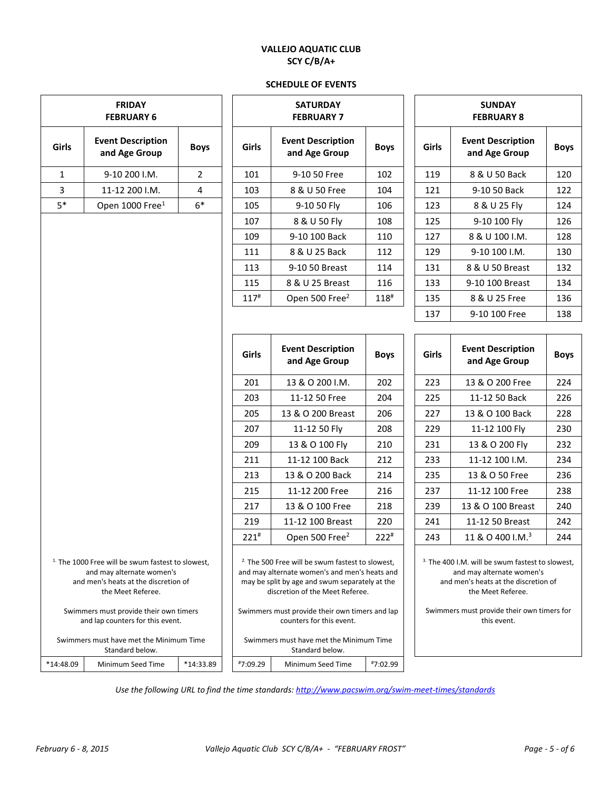# **VALLEJO AQUATIC CLUB SCY C/B/A+**

## **SCHEDULE OF EVENTS**

| <b>FRIDAY</b><br><b>FEBRUARY 6</b>                                                                                                                                                                                                   |                                                            |                |                                                                                                                                                                                                                                                                                | <b>SATURDAY</b><br><b>FEBRUARY 7</b> |                    | <b>SUNDAY</b><br><b>FEBRUARY 8</b>                                                                                                                                                                                 |                                           |             |  |
|--------------------------------------------------------------------------------------------------------------------------------------------------------------------------------------------------------------------------------------|------------------------------------------------------------|----------------|--------------------------------------------------------------------------------------------------------------------------------------------------------------------------------------------------------------------------------------------------------------------------------|--------------------------------------|--------------------|--------------------------------------------------------------------------------------------------------------------------------------------------------------------------------------------------------------------|-------------------------------------------|-------------|--|
| Girls                                                                                                                                                                                                                                | <b>Event Description</b><br>and Age Group                  | <b>Boys</b>    | <b>Event Description</b><br>Girls<br>and Age Group                                                                                                                                                                                                                             |                                      | <b>Boys</b>        | Girls                                                                                                                                                                                                              | <b>Event Description</b><br>and Age Group | <b>Boys</b> |  |
| $\mathbf{1}$                                                                                                                                                                                                                         | 9-10 200 I.M.                                              | $\overline{2}$ | 101                                                                                                                                                                                                                                                                            | 9-10 50 Free                         | 102                | 119                                                                                                                                                                                                                | 8 & U 50 Back                             | 120         |  |
| 3                                                                                                                                                                                                                                    | 11-12 200 I.M.                                             | 4              | 103                                                                                                                                                                                                                                                                            | 8 & U 50 Free                        | 104                | 121                                                                                                                                                                                                                | 9-10 50 Back                              | 122         |  |
| $5*$                                                                                                                                                                                                                                 | Open 1000 Free <sup>1</sup>                                | $6*$           | 105                                                                                                                                                                                                                                                                            | 9-10 50 Fly                          | 106                | 123                                                                                                                                                                                                                | 8 & U 25 Fly                              | 124         |  |
|                                                                                                                                                                                                                                      |                                                            |                | 107                                                                                                                                                                                                                                                                            | 8 & U 50 Fly                         | 108                | 125                                                                                                                                                                                                                | 9-10 100 Fly                              | 126         |  |
|                                                                                                                                                                                                                                      |                                                            |                | 109                                                                                                                                                                                                                                                                            | 9-10 100 Back                        | 110                | 127                                                                                                                                                                                                                | 8 & U 100 I.M.                            | 128         |  |
|                                                                                                                                                                                                                                      |                                                            |                | 111                                                                                                                                                                                                                                                                            | 8 & U 25 Back                        | 112                | 129                                                                                                                                                                                                                | 9-10 100 I.M.                             | 130         |  |
|                                                                                                                                                                                                                                      |                                                            |                | 113                                                                                                                                                                                                                                                                            | 9-10 50 Breast                       | 114                | 131                                                                                                                                                                                                                | 8 & U 50 Breast                           | 132         |  |
|                                                                                                                                                                                                                                      |                                                            |                | 115                                                                                                                                                                                                                                                                            | 8 & U 25 Breast                      | 116                | 133                                                                                                                                                                                                                | 9-10 100 Breast                           | 134         |  |
|                                                                                                                                                                                                                                      |                                                            |                | $117^{\#}$                                                                                                                                                                                                                                                                     | Open 500 Free <sup>2</sup>           | $118^{\texttt{#}}$ | 135                                                                                                                                                                                                                | 8 & U 25 Free                             | 136         |  |
|                                                                                                                                                                                                                                      |                                                            |                |                                                                                                                                                                                                                                                                                |                                      |                    | 137                                                                                                                                                                                                                | 9-10 100 Free                             | 138         |  |
|                                                                                                                                                                                                                                      |                                                            | Girls          | <b>Event Description</b><br>and Age Group                                                                                                                                                                                                                                      |                                      | Girls              | <b>Event Description</b><br>and Age Group                                                                                                                                                                          | <b>Boys</b>                               |             |  |
|                                                                                                                                                                                                                                      |                                                            |                | 201                                                                                                                                                                                                                                                                            | 13 & O 200 I.M.                      | 202                | 223                                                                                                                                                                                                                | 13 & O 200 Free                           | 224         |  |
|                                                                                                                                                                                                                                      |                                                            |                | 203                                                                                                                                                                                                                                                                            | 11-12 50 Free                        | 204                | 225                                                                                                                                                                                                                | 11-12 50 Back<br>226                      |             |  |
|                                                                                                                                                                                                                                      |                                                            |                | 205                                                                                                                                                                                                                                                                            | 13 & O 200 Breast                    | 206                | 227                                                                                                                                                                                                                | 13 & O 100 Back                           | 228         |  |
|                                                                                                                                                                                                                                      |                                                            |                | 207                                                                                                                                                                                                                                                                            | 11-12 50 Fly                         | 208                | 229                                                                                                                                                                                                                | 11-12 100 Fly                             | 230         |  |
|                                                                                                                                                                                                                                      |                                                            |                | 209                                                                                                                                                                                                                                                                            | 13 & O 100 Fly                       | 210                | 231                                                                                                                                                                                                                | 13 & O 200 Fly                            | 232         |  |
|                                                                                                                                                                                                                                      |                                                            |                | 211                                                                                                                                                                                                                                                                            | 11-12 100 Back                       | 212                | 233                                                                                                                                                                                                                | 11-12 100 I.M.                            | 234         |  |
|                                                                                                                                                                                                                                      |                                                            |                | 213                                                                                                                                                                                                                                                                            | 13 & O 200 Back                      | 214                | 235                                                                                                                                                                                                                | 13 & O 50 Free                            | 236         |  |
|                                                                                                                                                                                                                                      |                                                            |                | 215                                                                                                                                                                                                                                                                            | 11-12 200 Free                       | 216                | 237                                                                                                                                                                                                                | 11-12 100 Free                            | 238         |  |
|                                                                                                                                                                                                                                      |                                                            |                | 217                                                                                                                                                                                                                                                                            | 13 & O 100 Free                      | 218                | 239                                                                                                                                                                                                                | 13 & O 100 Breast                         | 240         |  |
|                                                                                                                                                                                                                                      |                                                            |                | 219                                                                                                                                                                                                                                                                            | 11-12 100 Breast                     | 220                | 241                                                                                                                                                                                                                | 11-12 50 Breast                           | 242         |  |
|                                                                                                                                                                                                                                      |                                                            |                | $221$ #                                                                                                                                                                                                                                                                        | Open 500 Free <sup>2</sup>           | $222*$             | 243                                                                                                                                                                                                                | 11 & O 400 I.M. <sup>3</sup>              | 244         |  |
| <sup>1.</sup> The 1000 Free will be swum fastest to slowest,<br>and may alternate women's<br>and men's heats at the discretion of<br>the Meet Referee.<br>Swimmers must provide their own timers<br>and lap counters for this event. |                                                            |                | <sup>2</sup> The 500 Free will be swum fastest to slowest,<br>and may alternate women's and men's heats and<br>may be split by age and swum separately at the<br>discretion of the Meet Referee.<br>Swimmers must provide their own timers and lap<br>counters for this event. |                                      |                    | <sup>3.</sup> The 400 I.M. will be swum fastest to slowest,<br>and may alternate women's<br>and men's heats at the discretion of<br>the Meet Referee.<br>Swimmers must provide their own timers for<br>this event. |                                           |             |  |
|                                                                                                                                                                                                                                      | Swimmers must have met the Minimum Time<br>Standard below. |                | Swimmers must have met the Minimum Time<br>Standard below.                                                                                                                                                                                                                     |                                      |                    |                                                                                                                                                                                                                    |                                           |             |  |
| *14:48.09                                                                                                                                                                                                                            | Minimum Seed Time                                          | *14:33.89      | #7:09.29                                                                                                                                                                                                                                                                       | Minimum Seed Time                    | #7:02.99           |                                                                                                                                                                                                                    |                                           |             |  |

*Use the following URL to find the time standards: <http://www.pacswim.org/swim-meet-times/standards>*